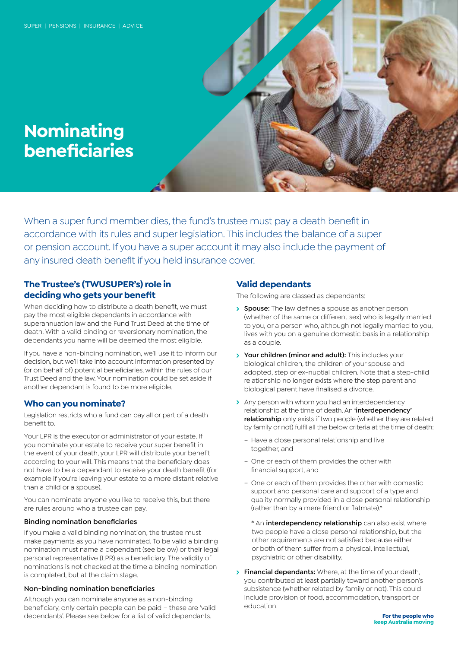# **Nominating beneficiaries**

When a super fund member dies, the fund's trustee must pay a death benefit in accordance with its rules and super legislation. This includes the balance of a super or pension account. If you have a super account it may also include the payment of any insured death benefit if you held insurance cover.

# **The Trustee's (TWUSUPER's) role in deciding who gets your benefit**

When deciding how to distribute a death benefit, we must pay the most eligible dependants in accordance with superannuation law and the Fund Trust Deed at the time of death. With a valid binding or reversionary nomination, the dependants you name will be deemed the most eligible.

If you have a non-binding nomination, we'll use it to inform our decision, but we'll take into account information presented by (or on behalf of) potential beneficiaries, within the rules of our Trust Deed and the law. Your nomination could be set aside if another dependant is found to be more eligible.

# **Who can you nominate?**

Legislation restricts who a fund can pay all or part of a death benefit to.

Your LPR is the executor or administrator of your estate. If you nominate your estate to receive your super benefit in the event of your death, your LPR will distribute your benefit according to your will. This means that the beneficiary does not have to be a dependant to receive your death benefit (for example if you're leaving your estate to a more distant relative than a child or a spouse).

You can nominate anyone you like to receive this, but there are rules around who a trustee can pay.

## **Binding nomination beneficiaries**

If you make a valid binding nomination, the trustee must make payments as you have nominated. To be valid a binding nomination must name a dependant (see below) or their legal personal representative (LPR) as a beneficiary. The validity of nominations is not checked at the time a binding nomination is completed, but at the claim stage.

### **Non-binding nomination beneficiaries**

Although you can nominate anyone as a non-binding beneficiary, only certain people can be paid – these are 'valid dependants'. Please see below for a list of valid dependants.

# **Valid dependants**

The following are classed as dependants:

- **Spouse:** The law defines a spouse as another person (whether of the same or different sex) who is legally married to you, or a person who, although not legally married to you, lives with you on a genuine domestic basis in a relationship as a couple.
- **Your children (minor and adult):** This includes your biological children, the children of your spouse and adopted, step or ex-nuptial children. Note that a step-child relationship no longer exists where the step parent and biological parent have finalised a divorce.
- > Any person with whom you had an interdependency relationship at the time of death. An **'interdependency' relationship** only exists if two people (whether they are related by family or not) fulfil all the below criteria at the time of death:
	- Have a close personal relationship and live together, and
	- One or each of them provides the other with financial support, and
	- One or each of them provides the other with domestic support and personal care and support of a type and quality normally provided in a close personal relationship (rather than by a mere friend or flatmate).\*
		- \* An **interdependency relationship** can also exist where two people have a close personal relationship, but the other requirements are not satisfied because either or both of them suffer from a physical, intellectual, psychiatric or other disability.
- **Financial dependants:** Where, at the time of your death, you contributed at least partially toward another person's subsistence (whether related by family or not). This could include provision of food, accommodation, transport or education.